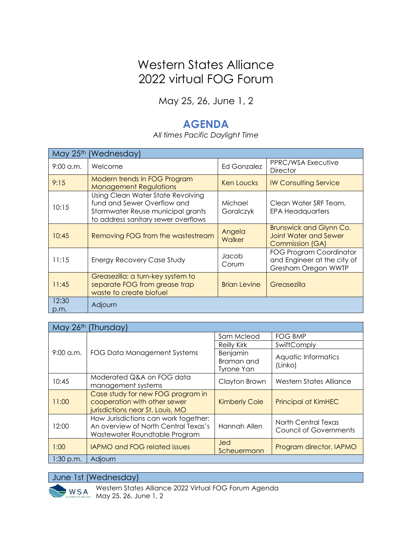## Western States Alliance 2022 virtual FOG Forum

May 25, 26, June 1, 2

## **AGENDA**

*All times Pacific Daylight Time*

| May 25th<br>(Wednesday) |                                                                                                                                              |                         |                                                                                   |  |  |
|-------------------------|----------------------------------------------------------------------------------------------------------------------------------------------|-------------------------|-----------------------------------------------------------------------------------|--|--|
| $9:00$ a.m.             | Welcome                                                                                                                                      | Ed Gonzalez             | PPRC/WSA Executive<br><b>Director</b>                                             |  |  |
| 9:15                    | Modern trends in FOG Program<br><b>Management Regulations</b>                                                                                | Ken Loucks              | <b>IW Consulting Service</b>                                                      |  |  |
| 10:15                   | Using Clean Water State Revolving<br>fund and Sewer Overflow and<br>Stormwater Reuse municipal grants<br>to address sanitary sewer overflows | Michael<br>Goralczyk    | Clean Water SRF Team,<br><b>EPA Headquarters</b>                                  |  |  |
| 10:45                   | Removing FOG from the wastestream                                                                                                            | Angela<br><b>Walker</b> | <b>Brunswick and Glynn Co.</b><br><b>Joint Water and Sewer</b><br>Commission (GA) |  |  |
| 11:15                   | Energy Recovery Case Study                                                                                                                   | Jacob<br>Corum          | FOG Program Coordinator<br>and Engineer at the city of<br>Gresham Oregon WWTP     |  |  |
| 11:45                   | Greasezilla: a turn-key system to<br>separate FOG from grease trap<br>waste to create biofuel                                                | <b>Brian Levine</b>     | Greasezilla                                                                       |  |  |
| 12:30<br>p.m.           | Adjourn                                                                                                                                      |                         |                                                                                   |  |  |

| May 26th<br>(Thursday) |                                                                                                               |                                             |                                                      |  |  |
|------------------------|---------------------------------------------------------------------------------------------------------------|---------------------------------------------|------------------------------------------------------|--|--|
| $9:00$ a.m.            | FOG Data Management Systems                                                                                   | Sam Mcleod                                  | <b>FOG BMP</b>                                       |  |  |
|                        |                                                                                                               | <b>Reilly Kirk</b>                          | SwiftComply                                          |  |  |
|                        |                                                                                                               | Benjamin<br>Braman and<br><b>Tyrone Yan</b> | Aquatic Informatics<br>(Linko)                       |  |  |
| 10:45                  | Moderated Q&A on FOG data<br>management systems                                                               | Clayton Brown                               | Western States Alliance                              |  |  |
| 11:00                  | Case study for new FOG program in<br>cooperation with other sewer<br>jurisdictions near St. Louis, MO         | <b>Kimberly Cole</b>                        | <b>Principal at KimHEC</b>                           |  |  |
| 12:00                  | How Jurisdictions can work together:<br>An overview of North Central Texas's<br>Wastewater Roundtable Program | Hannah Allen                                | North Central Texas<br><b>Council of Governments</b> |  |  |
| 1:00                   | <b>IAPMO and FOG related issues</b>                                                                           | <b>Jed</b><br>Scheuermann                   | Program director, IAPMO                              |  |  |
| $1:30$ p.m.            | Adjourn                                                                                                       |                                             |                                                      |  |  |

June 1st (Wednesday)



Western States Alliance 2022 Virtual FOG Forum Agenda May 25, 26, June 1, 2